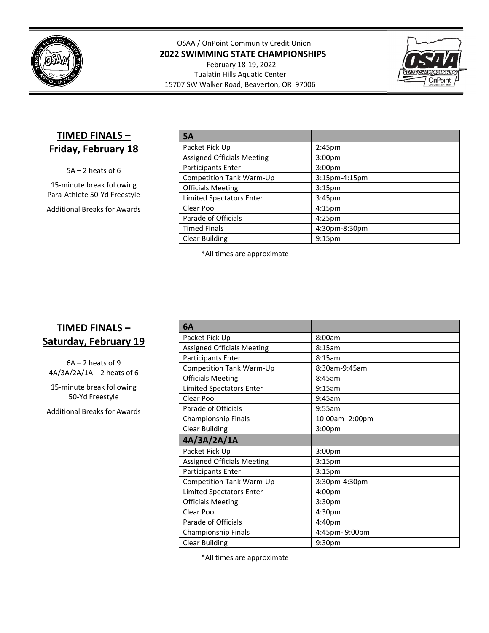

OSAA / OnPoint Community Credit Union **2022 SWIMMING STATE CHAMPIONSHIPS**

February 18‐19, 2022 Tualatin Hills Aquatic Center 15707 SW Walker Road, Beaverton, OR 97006



## **TIMED FINALS – Friday, February 18**

5A – 2 heats of 6

15‐minute break following Para‐Athlete 50‐Yd Freestyle

Additional Breaks for Awards

| <b>5A</b>                         |                    |
|-----------------------------------|--------------------|
| Packet Pick Up                    | 2:45 <sub>pm</sub> |
| <b>Assigned Officials Meeting</b> | 3:00 <sub>pm</sub> |
| <b>Participants Enter</b>         | 3:00 <sub>pm</sub> |
| Competition Tank Warm-Up          | $3:15$ pm-4:15pm   |
| <b>Officials Meeting</b>          | 3:15 <sub>pm</sub> |
| <b>Limited Spectators Enter</b>   | 3:45 <sub>pm</sub> |
| Clear Pool                        | 4:15 <sub>pm</sub> |
| Parade of Officials               | 4:25 <sub>pm</sub> |
| <b>Timed Finals</b>               | 4:30pm-8:30pm      |
| <b>Clear Building</b>             | 9:15 <sub>pm</sub> |

\*All times are approximate

## **TIMED FINALS – Saturday, February 19**

 $6A - 2$  heats of 9 4A/3A/2A/1A – 2 heats of 6

15‐minute break following 50‐Yd Freestyle

Additional Breaks for Awards

| 6A                                |                    |
|-----------------------------------|--------------------|
| Packet Pick Up                    | 8:00am             |
| <b>Assigned Officials Meeting</b> | 8:15am             |
| Participants Enter                | 8:15am             |
| Competition Tank Warm-Up          | 8:30am-9:45am      |
| <b>Officials Meeting</b>          | 8:45am             |
| Limited Spectators Enter          | 9:15am             |
| Clear Pool                        | 9:45am             |
| Parade of Officials               | 9:55am             |
| Championship Finals               | 10:00am-2:00pm     |
| <b>Clear Building</b>             | 3:00 <sub>pm</sub> |
|                                   |                    |
| 4A/3A/2A/1A                       |                    |
| Packet Pick Up                    | 3:00pm             |
| <b>Assigned Officials Meeting</b> | 3:15 <sub>pm</sub> |
| Participants Enter                | 3:15 <sub>pm</sub> |
| Competition Tank Warm-Up          | 3:30pm-4:30pm      |
| <b>Limited Spectators Enter</b>   | 4:00pm             |
| <b>Officials Meeting</b>          | 3:30 <sub>pm</sub> |
| Clear Pool                        | 4:30pm             |
| Parade of Officials               | 4:40pm             |
| Championship Finals               | 4:45pm-9:00pm      |

\*All times are approximate